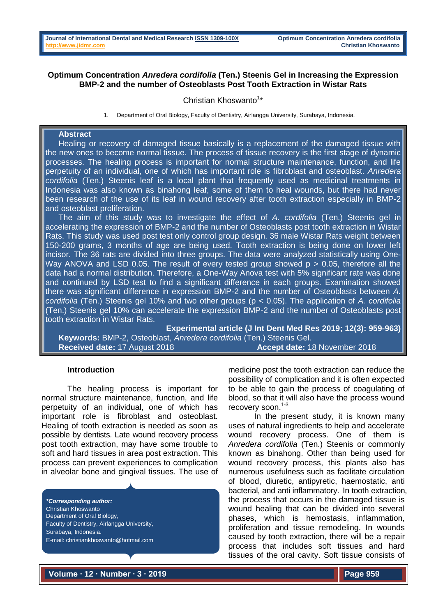# **Optimum Concentration** *Anredera cordifolia* **(Ten.) Steenis Gel in Increasing the Expression BMP-2 and the number of Osteoblasts Post Tooth Extraction in Wistar Rats**

# Christian Khoswanto<sup>1\*</sup>

1. Department of Oral Biology, Faculty of Dentistry, Airlangga University, Surabaya, Indonesia.

### **Abstract**

Healing or recovery of damaged tissue basically is a replacement of the damaged tissue with the new ones to become normal tissue. The process of tissue recovery is the first stage of dynamic processes. The healing process is important for normal structure maintenance, function, and life perpetuity of an individual, one of which has important role is fibroblast and osteoblast. *Anredera cordifolia* (Ten.) Steenis leaf is a local plant that frequently used as medicinal treatments in Indonesia was also known as binahong leaf, some of them to heal wounds, but there had never been research of the use of its leaf in wound recovery after tooth extraction especially in BMP-2 and osteoblast proliferation.

The aim of this study was to investigate the effect of *A. cordifolia* (Ten.) Steenis gel in accelerating the expression of BMP-2 and the number of Osteoblasts post tooth extraction in Wistar Rats. This study was used post test only control group design. 36 male Wistar Rats weight between 150-200 grams, 3 months of age are being used. Tooth extraction is being done on lower left incisor. The 36 rats are divided into three groups. The data were analyzed statistically using One-Way ANOVA and LSD 0.05. The result of every tested group showed  $p > 0.05$ , therefore all the data had a normal distribution. Therefore, a One-Way Anova test with 5% significant rate was done and continued by LSD test to find a significant difference in each groups. Examination showed there was significant difference in expression BMP-2 and the number of Osteoblasts between *A. cordifolia* (Ten.) Steenis gel 10% and two other groups (p < 0.05). The application of *A. cordifolia* (Ten.) Steenis gel 10% can accelerate the expression BMP-2 and the number of Osteoblasts post tooth extraction in Wistar Rats.

**Experimental article (J Int Dent Med Res 2019; 12(3): 959-963) Keywords:** BMP-2, Osteoblast, *Anredera cordifolia* (Ten.) Steenis Gel. **Received date:** 17 August 2018 **Accept date:** 18 November 2018

#### **Introduction**

The healing process is important for normal structure maintenance, function, and life perpetuity of an individual, one of which has important role is fibroblast and osteoblast. Healing of tooth extraction is needed as soon as possible by dentists. Late wound recovery process post tooth extraction, may have some trouble to soft and hard tissues in area post extraction. This process can prevent experiences to complication in alveolar bone and gingival tissues. The use of

*\*Corresponding author:* Christian Khoswanto Department of Oral Biology, Faculty of Dentistry, Airlangga University, Surabaya, Indonesia. E-mail: christiankhoswanto@hotmail.com medicine post the tooth extraction can reduce the possibility of complication and it is often expected to be able to gain the process of coagulating of blood, so that it will also have the process wound recovery soon.<sup>1-3</sup>

In the present study, it is known many uses of natural ingredients to help and accelerate wound recovery process. One of them is *Anredera cordifolia* (Ten.) Steenis or commonly known as binahong. Other than being used for wound recovery process, this plants also has numerous usefulness such as facilitate circulation of blood, diuretic, antipyretic, haemostatic, anti bacterial, and anti inflammatory. In tooth extraction, the process that occurs in the damaged tissue is wound healing that can be divided into several phases, which is hemostasis, inflammation, proliferation and tissue remodeling. In wounds caused by tooth extraction, there will be a repair process that includes soft tissues and hard tissues of the oral cavity. Soft tissue consists of

**Volume ∙ 12 ∙ Number ∙ 3 ∙ 2019**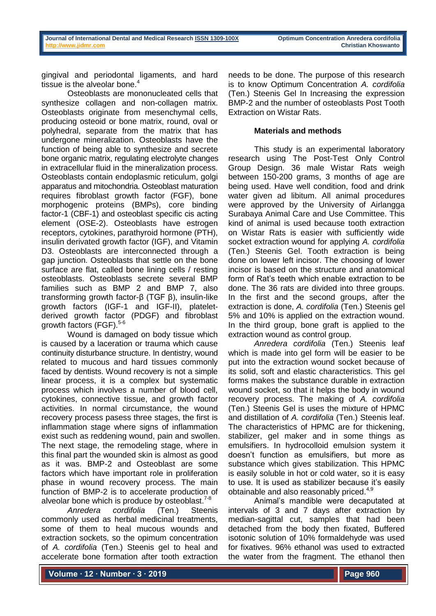gingival and periodontal ligaments, and hard tissue is the alveolar bone. $4$ 

Osteoblasts are mononucleated cells that synthesize collagen and non-collagen matrix. Osteoblasts originate from mesenchymal cells, producing osteoid or bone matrix, round, oval or polyhedral, separate from the matrix that has undergone mineralization. Osteoblasts have the function of being able to synthesize and secrete bone organic matrix, regulating electrolyte changes in extracellular fluid in the mineralization process. Osteoblasts contain endoplasmic reticulum, golgi apparatus and mitochondria. Osteoblast maturation requires fibroblast growth factor (FGF), bone morphogenic proteins (BMPs), core binding factor-1 (CBF-1) and osteoblast specific cis acting element (OSE-2). Osteoblasts have estrogen receptors, cytokines, parathyroid hormone (PTH), insulin derivated growth factor (IGF), and Vitamin D3. Osteoblasts are interconnected through a gap junction. Osteoblasts that settle on the bone surface are flat, called bone lining cells / resting osteoblasts. Osteoblasts secrete several BMP families such as BMP 2 and BMP 7, also transforming growth factor-β (TGF β), insulin-like growth factors (IGF-1 and IGF-II), plateletderived growth factor (PDGF) and fibroblast growth factors (FGF).<sup>5-6</sup>

Wound is damaged on body tissue which is caused by a laceration or trauma which cause continuity disturbance structure. In dentistry, wound related to mucous and hard tissues commonly faced by dentists. Wound recovery is not a simple linear process, it is a complex but systematic process which involves a number of blood cell, cytokines, connective tissue, and growth factor activities. In normal circumstance, the wound recovery process pasess three stages, the first is inflammation stage where signs of inflammation exist such as reddening wound, pain and swollen. The next stage, the remodeling stage, where in this final part the wounded skin is almost as good as it was. BMP-2 and Osteoblast are some factors which have important role in proliferation phase in wound recovery process. The main function of BMP-2 is to accelerate production of alveolar bone which is produce by osteoblast. $7-8$ 

*Anredera cordifolia* (Ten.) Steenis commonly used as herbal medicinal treatments, some of them to heal mucous wounds and extraction sockets, so the opimum concentration of *A. cordifolia* (Ten.) Steenis gel to heal and accelerate bone formation after tooth extraction

needs to be done. The purpose of this research is to know Optimum Concentration *A. cordifolia* (Ten.) Steenis Gel In Increasing the expression BMP-2 and the number of osteoblasts Post Tooth Extraction on Wistar Rats.

# **Materials and methods**

This study is an experimental laboratory research using The Post-Test Only Control Group Design. 36 male Wistar Rats weigh between 150-200 grams, 3 months of age are being used. Have well condition, food and drink water given ad libitum. All animal procedures were approved by the University of Airlangga Surabaya Animal Care and Use Committee. This kind of animal is used because tooth extraction on Wistar Rats is easier with sufficiently wide socket extraction wound for applying *A. cordifolia* (Ten.) Steenis Gel. Tooth extraction is being done on lower left incisor. The choosing of lower incisor is based on the structure and anatomical form of Rat's teeth which enable extraction to be done. The 36 rats are divided into three groups. In the first and the second groups, after the extraction is done, *A. cordifolia* (Ten.) Steenis gel 5% and 10% is applied on the extraction wound. In the third group, bone graft is applied to the extraction wound as control group.

*Anredera cordifolia* (Ten.) Steenis leaf which is made into gel form will be easier to be put into the extraction wound socket because of its solid, soft and elastic characteristics. This gel forms makes the substance durable in extraction wound socket, so that it helps the body in wound recovery process. The making of *A. cordifolia* (Ten.) Steenis Gel is uses the mixture of HPMC and distillation of *A. cordifolia* (Ten.) Steenis leaf. The characteristics of HPMC are for thickening, stabilizer, gel maker and in some things as emulsifiers. In hydrocolloid emulsion system it doesn't function as emulsifiers, but more as substance which gives stabilization. This HPMC is easily soluble in hot or cold water, so it is easy to use. It is used as stabilizer because it's easily obtainable and also reasonably priced.<sup>4,9</sup>

Animal's mandible were decaputated at intervals of 3 and 7 days after extraction by median-sagittal cut, samples that had been detached from the body then fixated, Buffered isotonic solution of 10% formaldehyde was used for fixatives. 96% ethanol was used to extracted the water from the fragment. The ethanol then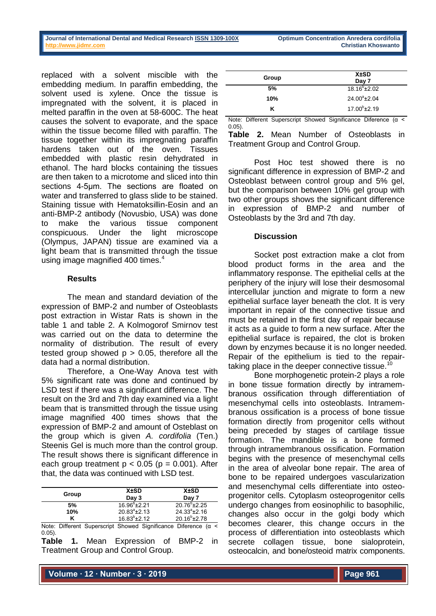#### **Journal of International Dental and Medical Research [ISSN 1309-100X](http://www.ektodermaldisplazi.com/dergi.htm) Optimum Concentration Anredera cordifolia [http://www.jidmr.com](http://www.jidmr.com/) Christian Khoswanto**

replaced with a solvent miscible with the embedding medium. In paraffin embedding, the solvent used is xylene. Once the tissue is impregnated with the solvent, it is placed in melted paraffin in the oven at 58-600C. The heat causes the solvent to evaporate, and the space within the tissue become filled with paraffin. The tissue together within its impregnating paraffin hardens taken out of the oven. Tissues embedded with plastic resin dehydrated in ethanol. The hard blocks containing the tissues are then taken to a microtome and sliced into thin sections 4-5µm. The sections are floated on water and transferred to glass slide to be stained. Staining tissue with Hematoksillin-Eosin and an anti-BMP-2 antibody (Novusbio, USA) was done to make the various tissue component conspicuous. Under the light microscope (Olympus, JAPAN) tissue are examined via a light beam that is transmitted through the tissue using image magnified 400 times.<sup>4</sup>

## **Results**

The mean and standard deviation of the expression of BMP-2 and number of Osteoblasts post extraction in Wistar Rats is shown in the table 1 and table 2. A Kolmogorof Smirnov test was carried out on the data to determine the normality of distribution. The result of every tested group showed  $p > 0.05$ , therefore all the data had a normal distribution.

Therefore, a One-Way Anova test with 5% significant rate was done and continued by LSD test if there was a significant difference. The result on the 3rd and 7th day examined via a light beam that is transmitted through the tissue using image magnified 400 times shows that the expression of BMP-2 and amount of Osteblast on the group which is given *A. cordifolia* (Ten.) Steenis Gel is much more than the control group. The result shows there is significant difference in each group treatment  $p < 0.05$  ( $p = 0.001$ ). After that, the data was continued with LSD test.

| Group | <b>X±SD</b><br>Day 3  | <b>X±SD</b><br>Dav <sub>7</sub>                             |
|-------|-----------------------|-------------------------------------------------------------|
| 5%    | $16.96^b \pm 2.21$    | $20.76^{\circ}$ ±2.25                                       |
| 10%   | $20.83^{\circ}$ ±2.13 | $24.33^{\circ}$ ±2.16                                       |
|       | $16.83^{b}$ ± 2.12    | $20.16^{b} \pm 2.78$                                        |
|       |                       | Nete: Different Companies Channel Cimilizanze Diferenza (s) |

Note: Different Superscript Showed Significance Diference (α < 0.05).

**Table 1.** Mean Expression of BMP-2 in Treatment Group and Control Group.

| Group | <b>X±SD</b><br>Day 7  |  |  |
|-------|-----------------------|--|--|
| 5%    | $18.16^{\circ}$ ±2.02 |  |  |
| 10%   | $24.00^a$ ±2.04       |  |  |
| κ     | $17.00^{\rm b}$ ±2.19 |  |  |

Note: Different Superscript Showed Significance Diference (α < 0.05).

**Table 2.** Mean Number of Osteoblasts in Treatment Group and Control Group.

Post Hoc test showed there is no significant difference in expression of BMP-2 and Osteoblast between control group and 5% gel, but the comparison between 10% gel group with two other groups shows the significant difference in expression of BMP-2 and number of Osteoblasts by the 3rd and 7th day.

# **Discussion**

Socket post extraction make a clot from blood product forms in the area and the inflammatory response. The epithelial cells at the periphery of the injury will lose their desmosomal intercellular junction and migrate to form a new epithelial surface layer beneath the clot. It is very important in repair of the connective tissue and must be retained in the first day of repair because it acts as a guide to form a new surface. After the epithelial surface is repaired, the clot is broken down by enzymes because it is no longer needed. Repair of the epithelium is tied to the repairtaking place in the deeper connective tissue.<sup>10</sup>

Bone morphogenetic protein-2 plays a role in bone tissue formation directly by intramembranous ossification through differentiation of mesenchymal cells into osteoblasts. Intramembranous ossification is a process of bone tissue formation directly from progenitor cells without being preceded by stages of cartilage tissue formation. The mandible is a bone formed through intramembranous ossification. Formation begins with the presence of mesenchymal cells in the area of alveolar bone repair. The area of bone to be repaired undergoes vascularization and mesenchymal cells differentiate into osteoprogenitor cells. Cytoplasm osteoprogenitor cells undergo changes from eosinophilic to basophilic, changes also occur in the golgi body which becomes clearer, this change occurs in the process of differentiation into osteoblasts which secrete collagen tissue, bone sialoprotein, osteocalcin, and bone/osteoid matrix components.

**Volume ∙ 12 ∙ Number ∙ 3 ∙ 2019**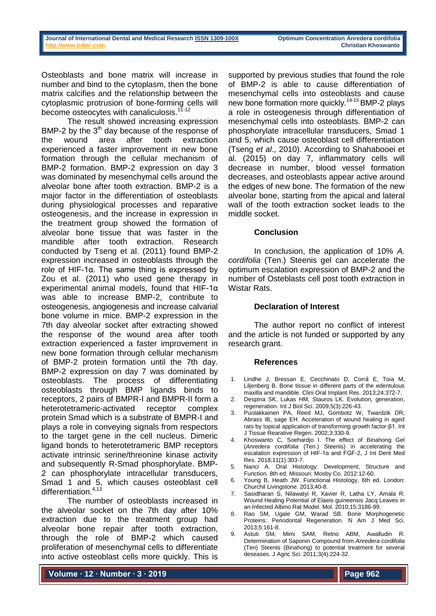Osteoblasts and bone matrix will increase in number and bind to the cytoplasm, then the bone matrix calcifies and the relationship between the cytoplasmic protrusion of bone-forming cells will become osteocytes with canaliculosis.<sup>17-12</sup>

The result showed increasing expression BMP-2 by the  $3<sup>th</sup>$  day because of the response of the wound area after tooth extraction experienced a faster improvement in new bone formation through the cellular mechanism of BMP-2 formation. BMP-2 expression on day 3 was dominated by mesenchymal cells around the alveolar bone after tooth extraction. BMP-2 is a major factor in the differentiation of osteoblasts during physiological processes and reparative osteogenesis, and the increase in expression in the treatment group showed the formation of alveolar bone tissue that was faster in the mandible after tooth extraction. Research conducted by Tseng et al. (2011) found BMP-2 expression increased in osteoblasts through the role of HIF-1α. The same thing is expressed by Zou et al. (2011) who used gene therapy in experimental animal models, found that HIF-1α was able to increase BMP-2, contribute to osteogenesis, angiogenesis and increase calvarial bone volume in mice. BMP-2 expression in the 7th day alveolar socket after extracting showed the response of the wound area after tooth extraction experienced a faster improvement in new bone formation through cellular mechanism of BMP-2 protein formation until the 7th day. BMP-2 expression on day 7 was dominated by osteoblasts. The process of differentiating osteoblasts through BMP ligands binds to receptors, 2 pairs of BMPR-I and BMPR-II form a heterotetrameric-activated receptor complex protein Smad which is a substrate of BMPR-I and plays a role in conveying signals from respectors to the target gene in the cell nucleus. Dimeric ligand bonds to heterotetrameric BMP receptors activate intrinsic serine/threonine kinase activity and subsequently R-Smad phosphorylate. BMP-2 can phosphorylate intracellular transducers, Smad 1 and 5, which causes osteoblast cell differentiation.<sup>4,13</sup>

The number of osteoblasts increased in the alveolar socket on the 7th day after 10% extraction due to the treatment group had alveolar bone repair after tooth extraction, through the role of BMP-2 which caused proliferation of mesenchymal cells to differentiate into active osteoblast cells more quickly. This is

supported by previous studies that found the role of BMP-2 is able to cause differentiation of mesenchymal cells into osteoblasts and cause new bone formation more quickly.<sup>14-15</sup> BMP-2 plays a role in osteogenesis through differentiation of mesenchymal cells into osteoblasts. BMP-2 can phosphorylate intracellular transducers, Smad 1 and 5, which cause osteoblast cell differentiation (Tseng *et al*., 2010). According to Shahabooei et al. (2015) on day 7, inflammatory cells will decrease in number, blood vessel formation decreases, and osteoblasts appear active around the edges of new bone. The formation of the new alveolar bone, starting from the apical and lateral wall of the tooth extraction socket leads to the middle socket.

## **Conclusion**

In conclusion, the application of 10% *A. cordifolia* (Ten.) Steenis gel can accelerate the optimum escalation expression of BMP-2 and the number of Osteblasts cell post tooth extraction in Wistar Rats.

## **Declaration of Interest**

The author report no conflict of interest and the article is not funded or supported by any research grant.

#### **References**

- 1. Lindhe J, Bressan E, Cecchinato D, Corrả E, Toia M, Liljenberg B. Bone tissue in different parts of the edentulous maxilla and mandible. Clini Oral Implant Res. 2013;24:372-7.
- 2. Despina SK, Lukas HM, Stauros LK. Evolution, generation, regeneration. Int J Biol Sci. 2009;5(3):226-43.
- 3. Puolakkainen PA, Reed MJ, Gombotz W, Twardzik DR, Abrass IB, sage EH. Acceleration of wound healing in aged rats by topical application of transforming growth factor-β1. Int J Tissue Rearative Regen. 2002;3:330-9.
- 4. Khoswanto C, Soehardjo I. The effect of Binahong Gel (*Anredera cordifolia* (Ten.) Steenis) in accelerating the escalation expression of HIF-1α and FGF-2, J Int Dent Med Res. 2018;11(1):303-7.
- 5. Nanci A. Oral Histology: Development, Structure and Function. 8th ed. Missouri: Mosby Co. 2012:12-60.
- 6. Young B, Heath JW. Functional Histology, 6th ed. London: Churchil Livingstone. 2013;40-8.
- 7. Sasidharan S, Nilawatyi R, Xavier R, Latha LY, Amala R. Wound Healing Potential of Elaeis guineensis Jacq Leaves in an Infected Albino Rat Model. Mol. 2010;15:3186-99.
- 8. Rao SM, Ugale GM, Warad SB. Bone Morphogenetic Proteins: Periodontal Regeneration. N Am J Med Sci. 2013;5:161-8.
- 9. Astuti SM, Mimi SAM, Retno ABM, Awalludin R. Determination of Saponin Compound from *Anredera cordifolia* (Ten) Steenis (Binahong) to potential treatment for several deseases. J Agric Sci. 2011;3(4):224-32.

**Volume ∙ 12 ∙ Number ∙ 3 ∙ 2019**